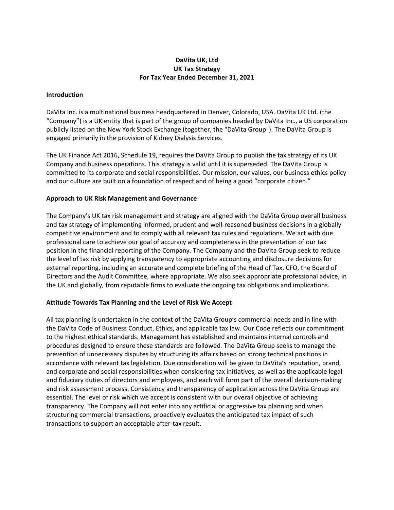# **DaVita UK, Ltd UK Tax Strategy For Tax Year Ended December 31, 2021**

#### **Introduction**

DaVita Inc. is a multinational business headquartered in Denver, Colorado, USA. DaVita UK Ltd. (the "Company") is a UK entity that is part of the group of companies headed by DaVita Inc., a US corporation publicly listed on the New York Stock Exchange (together, the "DaVita Group"). The DaVita Group is engaged primarily in the provision of Kidney Dialysis Services.

The UK Finance Act 2016, Schedule 19, requires the DaVita Group to publish the tax strategy of its UK Company and business operations. This strategy is valid until it is superseded. The DaVita Group is committed to its corporate and social responsibilities. Our mission, our values, our business ethics policy and our culture are built on a foundation of respect and of being a good "corporate citizen."

## **Approach to UK Risk Management and Governance**

The Company's UK tax risk management and strategy are aligned with the DaVita Group overall business and tax strategy of implementing informed, prudent and well-reasoned business decisions in a globally competitive environment and to comply with all relevant tax rules and regulations. We act with due professional care to achieve our goal of accuracy and completeness in the presentation of our tax position in the financial reporting of the Company. The Company and the DaVita Group seek to reduce the level of tax risk by applying transparency to appropriate accounting and disclosure decisions for external reporting, including an accurate and complete briefing of the Head of Tax, CFO, the Board of Directors and the Audit Committee, where appropriate. We also seek appropriate professional advice, in the UK and globally, from reputable firms to evaluate the ongoing tax obligations and implications.

## **Attitude Towards Tax Planning and the Level of Risk We Accept**

All tax planning is undertaken in the context of the DaVita Group's commercial needs and in line with the DaVita Code of Business Conduct, Ethics, and applicable tax law. Our Code reflects our commitment to the highest ethical standards. Management has established and maintains internal controls and procedures designed to ensure these standards are followed. The DaVita Group seeks to manage the prevention of unnecessary disputes by structuring its affairs based on strong technical positions in accordance with relevant tax legislation. Due consideration will be given to DaVita's reputation, brand, and corporate and social responsibilities when considering tax initiatives, as well as the applicable legal and fiduciary duties of directors and employees, and each will form part of the overall decision‐making and risk assessment process. Consistency and transparency of application across the DaVita Group are essential. The level of risk which we accept is consistent with our overall objective of achieving transparency. The Company will not enter into any artificial or aggressive tax planning and when structuring commercial transactions, proactively evaluates the anticipated tax impact of such transactions to support an acceptable after‐tax result.